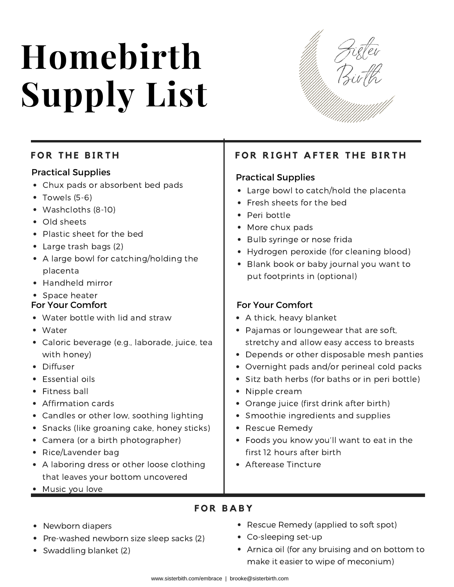# **Homebirth Supply List**



# $FOR$  THE BIRTH

### Practical Supplies

- Chux pads or absorbent bed pads
- Towels (5-6)
- Washcloths (8-10)
- Old sheets
- Plastic sheet for the bed
- Large trash bags (2)
- A large bowl for catching/holding the placenta
- Handheld mirror
- Space heater

### For Your Comfort

- Water bottle with lid and straw
- Water
- Caloric beverage (e.g., laborade, juice, tea with honey)
- Diffuser
- Essential oils
- Fitness ball
- Affirmation cards
- Candles or other low, soothing lighting
- Snacks (like groaning cake, honey sticks)
- Camera (or a birth photographer)
- Rice/Lavender bag
- A laboring dress or other loose clothing that leaves your bottom uncovered
- Music you love

# **F O R R I G H T A F T E R T H E B I R T H**

### Practical Supplies

- Large bowl to catch/hold the placenta
- Fresh sheets for the bed
- Peri bottle
- More chux pads
- Bulb syringe or nose frida
- Hydrogen peroxide (for cleaning blood)
- Blank book or baby journal you want to put footprints in (optional)

### For Your Comfort

- A thick, heavy blanket
- Pajamas or loungewear that are soft, stretchy and allow easy access to breasts
- Depends or other disposable mesh panties
- Overnight pads and/or perineal cold packs
- Sitz bath herbs (for baths or in peri bottle)
- Nipple cream
- Orange juice (first drink after birth)
- Smoothie ingredients and supplies
- Rescue Remedy
- Foods you know you'll want to eat in the first 12 hours after birth
- Afterease Tincture

- Newborn diapers
- Pre-washed newborn size sleep sacks (2)
- Swaddling blanket (2)
- Rescue Remedy (applied to soft spot)
- Co-sleeping set-up
- Arnica oil (for any bruising and on bottom to make it easier to wipe of meconium)

**F O R B A B Y**